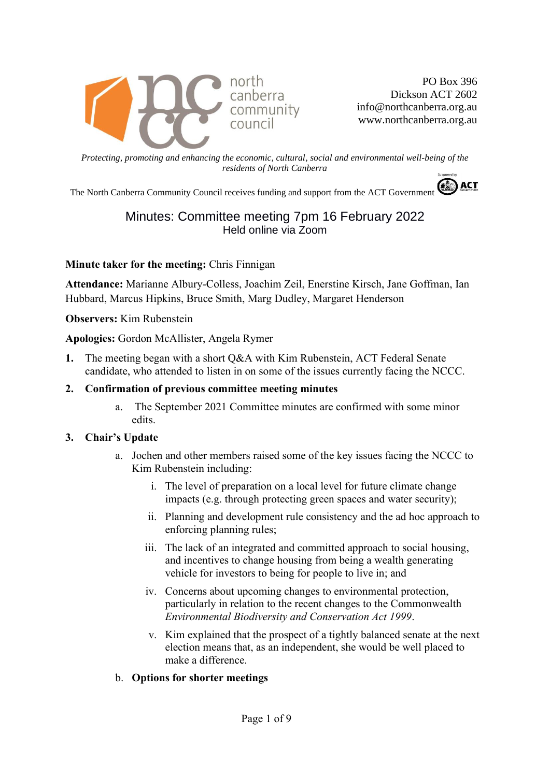

PO Box 396 Dickson ACT 2602 info@northcanberra.org.au www.northcanberra.org.au

*Protecting, promoting and enhancing the economic, cultural, social and environmental well-being of the residents of North Canberra*

The North Canberra Community Council receives funding and support from the ACT Government

# Minutes: Committee meeting 7pm 16 February 2022 Held online via Zoom

**Minute taker for the meeting:** Chris Finnigan

**Attendance:** Marianne Albury-Colless, Joachim Zeil, Enerstine Kirsch, Jane Goffman, Ian Hubbard, Marcus Hipkins, Bruce Smith, Marg Dudley, Margaret Henderson

**Observers:** Kim Rubenstein

**Apologies:** Gordon McAllister, Angela Rymer

- **1.** The meeting began with a short Q&A with Kim Rubenstein, ACT Federal Senate candidate, who attended to listen in on some of the issues currently facing the NCCC.
- **2. Confirmation of previous committee meeting minutes**
	- a. The September 2021 Committee minutes are confirmed with some minor edits.

#### **3. Chair's Update**

- a. Jochen and other members raised some of the key issues facing the NCCC to Kim Rubenstein including:
	- i. The level of preparation on a local level for future climate change impacts (e.g. through protecting green spaces and water security);
	- ii. Planning and development rule consistency and the ad hoc approach to enforcing planning rules;
	- iii. The lack of an integrated and committed approach to social housing, and incentives to change housing from being a wealth generating vehicle for investors to being for people to live in; and
	- iv. Concerns about upcoming changes to environmental protection, particularly in relation to the recent changes to the Commonwealth *Environmental Biodiversity and Conservation Act 1999*.
	- v. Kim explained that the prospect of a tightly balanced senate at the next election means that, as an independent, she would be well placed to make a difference.
- b. **Options for shorter meetings**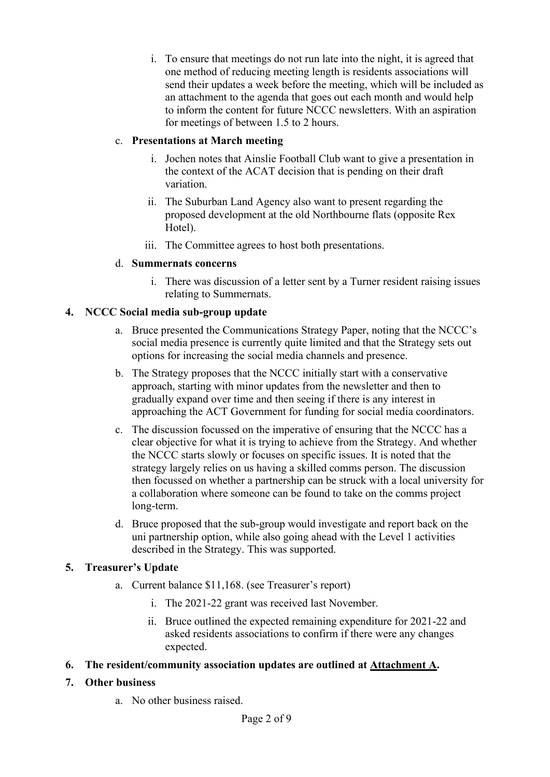i. To ensure that meetings do not run late into the night, it is agreed that one method of reducing meeting length is residents associations will send their updates a week before the meeting, which will be included as an attachment to the agenda that goes out each month and would help to inform the content for future NCCC newsletters. With an aspiration for meetings of between 1.5 to 2 hours.

### c. **Presentations at March meeting**

- i. Jochen notes that Ainslie Football Club want to give a presentation in the context of the ACAT decision that is pending on their draft variation.
- ii. The Suburban Land Agency also want to present regarding the proposed development at the old Northbourne flats (opposite Rex Hotel).
- iii. The Committee agrees to host both presentations.

### d. **Summernats concerns**

i. There was discussion of a letter sent by a Turner resident raising issues relating to Summernats.

# **4. NCCC Social media sub-group update**

- a. Bruce presented the Communications Strategy Paper, noting that the NCCC's social media presence is currently quite limited and that the Strategy sets out options for increasing the social media channels and presence.
- b. The Strategy proposes that the NCCC initially start with a conservative approach, starting with minor updates from the newsletter and then to gradually expand over time and then seeing if there is any interest in approaching the ACT Government for funding for social media coordinators.
- c. The discussion focussed on the imperative of ensuring that the NCCC has a clear objective for what it is trying to achieve from the Strategy. And whether the NCCC starts slowly or focuses on specific issues. It is noted that the strategy largely relies on us having a skilled comms person. The discussion then focussed on whether a partnership can be struck with a local university for a collaboration where someone can be found to take on the comms project long-term.
- d. Bruce proposed that the sub-group would investigate and report back on the uni partnership option, while also going ahead with the Level 1 activities described in the Strategy. This was supported.

# **5. Treasurer's Update**

- a. Current balance \$11,168. (see Treasurer's report)
	- i. The 2021-22 grant was received last November.
	- ii. Bruce outlined the expected remaining expenditure for 2021-22 and asked residents associations to confirm if there were any changes expected.
- **6. The resident/community association updates are outlined at Attachment A.**

### **7. Other business**

a. No other business raised.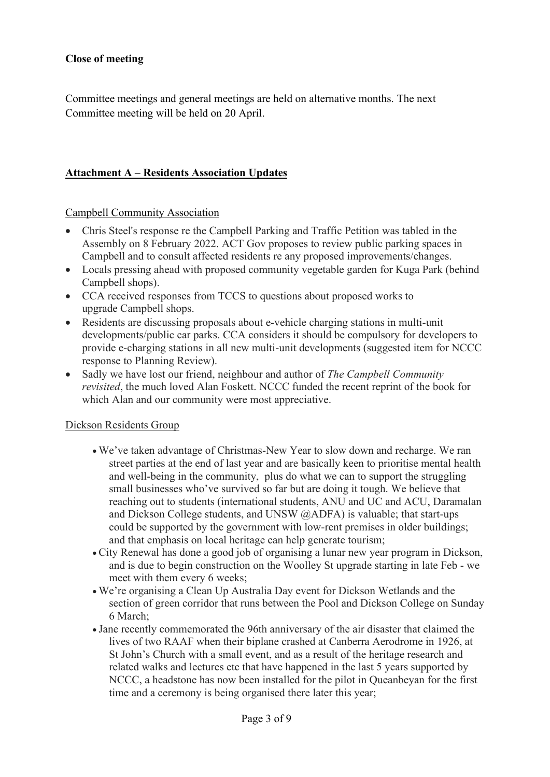#### **Close of meeting**

Committee meetings and general meetings are held on alternative months. The next Committee meeting will be held on 20 April.

#### **Attachment A – Residents Association Updates**

Campbell Community Association

- Chris Steel's response re the Campbell Parking and Traffic Petition was tabled in the Assembly on 8 February 2022. ACT Gov proposes to review public parking spaces in Campbell and to consult affected residents re any proposed improvements/changes.
- Locals pressing ahead with proposed community vegetable garden for Kuga Park (behind Campbell shops).
- CCA received responses from TCCS to questions about proposed works to upgrade Campbell shops.
- Residents are discussing proposals about e-vehicle charging stations in multi-unit developments/public car parks. CCA considers it should be compulsory for developers to provide e-charging stations in all new multi-unit developments (suggested item for NCCC response to Planning Review).
- Sadly we have lost our friend, neighbour and author of *The Campbell Community revisited*, the much loved Alan Foskett. NCCC funded the recent reprint of the book for which Alan and our community were most appreciative.

#### Dickson Residents Group

- We've taken advantage of Christmas-New Year to slow down and recharge. We ran street parties at the end of last year and are basically keen to prioritise mental health and well-being in the community, plus do what we can to support the struggling small businesses who've survived so far but are doing it tough. We believe that reaching out to students (international students, ANU and UC and ACU, Daramalan and Dickson College students, and UNSW @ADFA) is valuable; that start-ups could be supported by the government with low-rent premises in older buildings; and that emphasis on local heritage can help generate tourism;
- City Renewal has done a good job of organising a lunar new year program in Dickson, and is due to begin construction on the Woolley St upgrade starting in late Feb - we meet with them every 6 weeks;
- We're organising a Clean Up Australia Day event for Dickson Wetlands and the section of green corridor that runs between the Pool and Dickson College on Sunday 6 March;
- Jane recently commemorated the 96th anniversary of the air disaster that claimed the lives of two RAAF when their biplane crashed at Canberra Aerodrome in 1926, at St John's Church with a small event, and as a result of the heritage research and related walks and lectures etc that have happened in the last 5 years supported by NCCC, a headstone has now been installed for the pilot in Queanbeyan for the first time and a ceremony is being organised there later this year;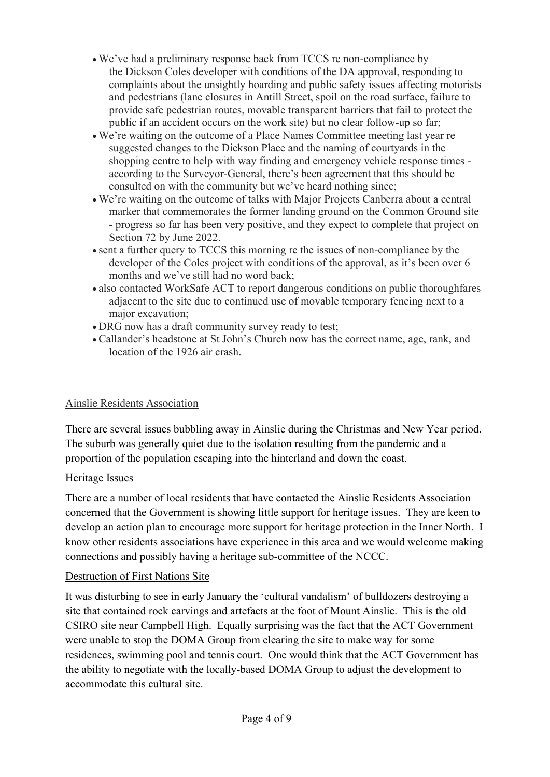- We've had a preliminary response back from TCCS re non-compliance by the Dickson Coles developer with conditions of the DA approval, responding to complaints about the unsightly hoarding and public safety issues affecting motorists and pedestrians (lane closures in Antill Street, spoil on the road surface, failure to provide safe pedestrian routes, movable transparent barriers that fail to protect the public if an accident occurs on the work site) but no clear follow-up so far;
- We're waiting on the outcome of a Place Names Committee meeting last year re suggested changes to the Dickson Place and the naming of courtyards in the shopping centre to help with way finding and emergency vehicle response times according to the Surveyor-General, there's been agreement that this should be consulted on with the community but we've heard nothing since;
- We're waiting on the outcome of talks with Major Projects Canberra about a central marker that commemorates the former landing ground on the Common Ground site - progress so far has been very positive, and they expect to complete that project on Section 72 by June 2022.
- sent a further query to TCCS this morning re the issues of non-compliance by the developer of the Coles project with conditions of the approval, as it's been over 6 months and we've still had no word back;
- also contacted WorkSafe ACT to report dangerous conditions on public thoroughfares adjacent to the site due to continued use of movable temporary fencing next to a major excavation;
- DRG now has a draft community survey ready to test;
- Callander's headstone at St John's Church now has the correct name, age, rank, and location of the 1926 air crash.

# Ainslie Residents Association

There are several issues bubbling away in Ainslie during the Christmas and New Year period. The suburb was generally quiet due to the isolation resulting from the pandemic and a proportion of the population escaping into the hinterland and down the coast.

# Heritage Issues

There are a number of local residents that have contacted the Ainslie Residents Association concerned that the Government is showing little support for heritage issues. They are keen to develop an action plan to encourage more support for heritage protection in the Inner North. I know other residents associations have experience in this area and we would welcome making connections and possibly having a heritage sub-committee of the NCCC.

# Destruction of First Nations Site

It was disturbing to see in early January the 'cultural vandalism' of bulldozers destroying a site that contained rock carvings and artefacts at the foot of Mount Ainslie. This is the old CSIRO site near Campbell High. Equally surprising was the fact that the ACT Government were unable to stop the DOMA Group from clearing the site to make way for some residences, swimming pool and tennis court. One would think that the ACT Government has the ability to negotiate with the locally-based DOMA Group to adjust the development to accommodate this cultural site.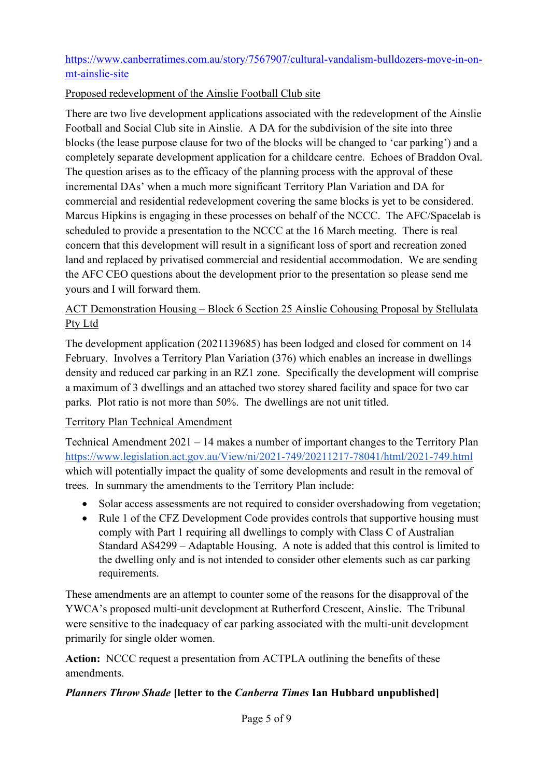# [https://www.canberratimes.com.au/story/7567907/cultural-vandalism-bulldozers-move-in-on](https://www.canberratimes.com.au/story/7567907/cultural-vandalism-bulldozers-move-in-on-mt-ainslie-site)[mt-ainslie-site](https://www.canberratimes.com.au/story/7567907/cultural-vandalism-bulldozers-move-in-on-mt-ainslie-site)

### Proposed redevelopment of the Ainslie Football Club site

There are two live development applications associated with the redevelopment of the Ainslie Football and Social Club site in Ainslie. A DA for the subdivision of the site into three blocks (the lease purpose clause for two of the blocks will be changed to 'car parking') and a completely separate development application for a childcare centre. Echoes of Braddon Oval. The question arises as to the efficacy of the planning process with the approval of these incremental DAs' when a much more significant Territory Plan Variation and DA for commercial and residential redevelopment covering the same blocks is yet to be considered. Marcus Hipkins is engaging in these processes on behalf of the NCCC. The AFC/Spacelab is scheduled to provide a presentation to the NCCC at the 16 March meeting. There is real concern that this development will result in a significant loss of sport and recreation zoned land and replaced by privatised commercial and residential accommodation. We are sending the AFC CEO questions about the development prior to the presentation so please send me yours and I will forward them.

# ACT Demonstration Housing – Block 6 Section 25 Ainslie Cohousing Proposal by Stellulata Pty Ltd

The development application (2021139685) has been lodged and closed for comment on 14 February. Involves a Territory Plan Variation (376) which enables an increase in dwellings density and reduced car parking in an RZ1 zone. Specifically the development will comprise a maximum of 3 dwellings and an attached two storey shared facility and space for two car parks. Plot ratio is not more than 50%. The dwellings are not unit titled.

### Territory Plan Technical Amendment

Technical Amendment 2021 – 14 makes a number of important changes to the Territory Plan <https://www.legislation.act.gov.au/View/ni/2021-749/20211217-78041/html/2021-749.html> which will potentially impact the quality of some developments and result in the removal of trees. In summary the amendments to the Territory Plan include:

- Solar access assessments are not required to consider overshadowing from vegetation;
- Rule 1 of the CFZ Development Code provides controls that supportive housing must comply with Part 1 requiring all dwellings to comply with Class C of Australian Standard AS4299 – Adaptable Housing. A note is added that this control is limited to the dwelling only and is not intended to consider other elements such as car parking requirements.

These amendments are an attempt to counter some of the reasons for the disapproval of the YWCA's proposed multi-unit development at Rutherford Crescent, Ainslie. The Tribunal were sensitive to the inadequacy of car parking associated with the multi-unit development primarily for single older women.

**Action:** NCCC request a presentation from ACTPLA outlining the benefits of these amendments.

### *Planners Throw Shade* **[letter to the** *Canberra Times* **Ian Hubbard unpublished]**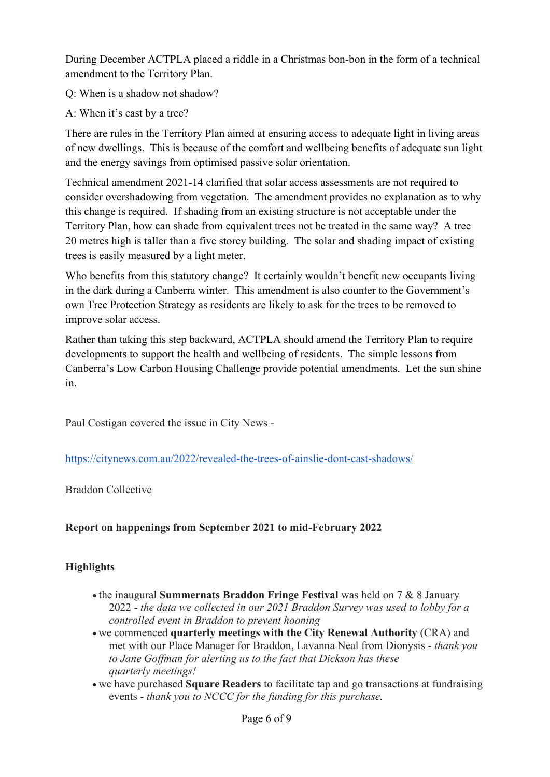During December ACTPLA placed a riddle in a Christmas bon-bon in the form of a technical amendment to the Territory Plan.

Q: When is a shadow not shadow?

A: When it's cast by a tree?

There are rules in the Territory Plan aimed at ensuring access to adequate light in living areas of new dwellings. This is because of the comfort and wellbeing benefits of adequate sun light and the energy savings from optimised passive solar orientation.

Technical amendment 2021-14 clarified that solar access assessments are not required to consider overshadowing from vegetation. The amendment provides no explanation as to why this change is required. If shading from an existing structure is not acceptable under the Territory Plan, how can shade from equivalent trees not be treated in the same way? A tree 20 metres high is taller than a five storey building. The solar and shading impact of existing trees is easily measured by a light meter.

Who benefits from this statutory change? It certainly wouldn't benefit new occupants living in the dark during a Canberra winter. This amendment is also counter to the Government's own Tree Protection Strategy as residents are likely to ask for the trees to be removed to improve solar access.

Rather than taking this step backward, ACTPLA should amend the Territory Plan to require developments to support the health and wellbeing of residents. The simple lessons from Canberra's Low Carbon Housing Challenge provide potential amendments. Let the sun shine in.

Paul Costigan covered the issue in City News -

<https://citynews.com.au/2022/revealed-the-trees-of-ainslie-dont-cast-shadows/>

### Braddon Collective

# **Report on happenings from September 2021 to mid-February 2022**

# **Highlights**

- the inaugural **Summernats Braddon Fringe Festival** was held on 7 & 8 January 2022 - *the data we collected in our 2021 Braddon Survey was used to lobby for a controlled event in Braddon to prevent hooning*
- we commenced **quarterly meetings with the City Renewal Authority** (CRA) and met with our Place Manager for Braddon, Lavanna Neal from Dionysis - *thank you to Jane Goffman for alerting us to the fact that Dickson has these quarterly meetings!*
- we have purchased **Square Readers** to facilitate tap and go transactions at fundraising events - *thank you to NCCC for the funding for this purchase.*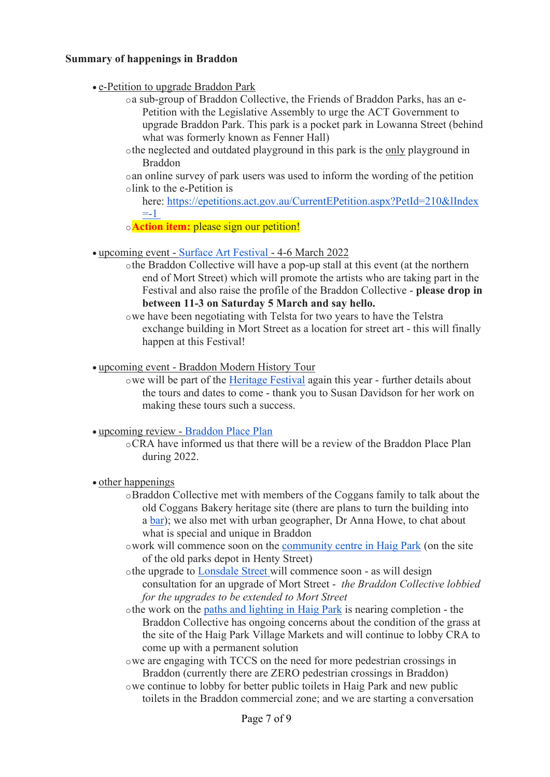#### **Summary of happenings in Braddon**

#### • e-Petition to upgrade Braddon Park

- oa sub-group of Braddon Collective, the Friends of Braddon Parks, has an e-Petition with the Legislative Assembly to urge the ACT Government to upgrade Braddon Park. This park is a pocket park in Lowanna Street (behind what was formerly known as Fenner Hall)
- othe neglected and outdated playground in this park is the only playground in Braddon

oan online survey of park users was used to inform the wording of the petition olink to the e-Petition is

here: [https://epetitions.act.gov.au/CurrentEPetition.aspx?PetId=210&lIndex](https://epetitions.act.gov.au/CurrentEPetition.aspx?PetId=210&lIndex=-1)  $= -1$ 

o**Action item:** please sign our petition!

#### • upcoming event - [Surface Art Festival](https://www.surfacefest.com.au/) - 4-6 March 2022

othe Braddon Collective will have a pop-up stall at this event (at the northern end of Mort Street) which will promote the artists who are taking part in the Festival and also raise the profile of the Braddon Collective - **please drop in between 11-3 on Saturday 5 March and say hello.**

- upcoming event Braddon Modern History Tour
	- owe will be part of the [Heritage Festival](https://www.environment.act.gov.au/heritage/heritage-festival) again this year further details about the tours and dates to come - thank you to Susan Davidson for her work on making these tours such a success.

#### • upcoming review - [Braddon Place Plan](https://mail.google.com/www.act.gov.au/cityrenewal/places/braddon/braddon-precinct-plan)

oCRA have informed us that there will be a review of the Braddon Place Plan during 2022.

#### • other happenings

- oBraddon Collective met with members of the Coggans family to talk about the old Coggans Bakery heritage site (there are plans to turn the building into a [bar\)](https://the-riotact.com/bar-and-dining-plans-for-coggans-bakery-heritage-site-in-braddon/482361?utm_medium=facebook&utm_source=ra); we also met with urban geographer, Dr Anna Howe, to chat about what is special and unique in Braddon
- owork will commence soon on the [community centre in Haig Park](https://www.act.gov.au/cityrenewal/places/haig-park/haig-park-community-centre) (on the site of the old parks depot in Henty Street)
- othe upgrade to [Lonsdale Street](https://www.act.gov.au/cityrenewal/places/braddon/braddon-streetscape-upgrades) will commence soon as will design consultation for an upgrade of Mort Street - *the Braddon Collective lobbied for the upgrades to be extended to Mort Street*
- othe work on the [paths and lighting in Haig Park](https://www.act.gov.au/cityrenewal/places/haig-park/haig-park-news) is nearing completion the Braddon Collective has ongoing concerns about the condition of the grass at the site of the Haig Park Village Markets and will continue to lobby CRA to come up with a permanent solution
- owe are engaging with TCCS on the need for more pedestrian crossings in Braddon (currently there are ZERO pedestrian crossings in Braddon)
- owe continue to lobby for better public toilets in Haig Park and new public toilets in the Braddon commercial zone; and we are starting a conversation

owe have been negotiating with Telsta for two years to have the Telstra exchange building in Mort Street as a location for street art - this will finally happen at this Festival!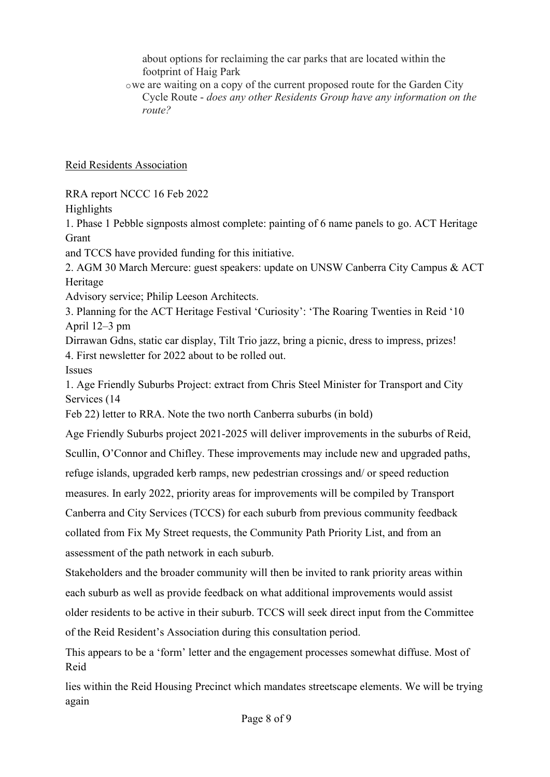about options for reclaiming the car parks that are located within the footprint of Haig Park

owe are waiting on a copy of the current proposed route for the Garden City Cycle Route - *does any other Residents Group have any information on the route?*

Reid Residents Association

RRA report NCCC 16 Feb 2022

Highlights

1. Phase 1 Pebble signposts almost complete: painting of 6 name panels to go. ACT Heritage Grant

and TCCS have provided funding for this initiative.

2. AGM 30 March Mercure: guest speakers: update on UNSW Canberra City Campus & ACT Heritage

Advisory service; Philip Leeson Architects.

3. Planning for the ACT Heritage Festival 'Curiosity': 'The Roaring Twenties in Reid '10 April 12–3 pm

Dirrawan Gdns, static car display, Tilt Trio jazz, bring a picnic, dress to impress, prizes! 4. First newsletter for 2022 about to be rolled out.

Issues

1. Age Friendly Suburbs Project: extract from Chris Steel Minister for Transport and City Services (14

Feb 22) letter to RRA. Note the two north Canberra suburbs (in bold)

Age Friendly Suburbs project 2021-2025 will deliver improvements in the suburbs of Reid,

Scullin, O'Connor and Chifley. These improvements may include new and upgraded paths,

refuge islands, upgraded kerb ramps, new pedestrian crossings and/ or speed reduction

measures. In early 2022, priority areas for improvements will be compiled by Transport

Canberra and City Services (TCCS) for each suburb from previous community feedback

collated from Fix My Street requests, the Community Path Priority List, and from an assessment of the path network in each suburb.

Stakeholders and the broader community will then be invited to rank priority areas within each suburb as well as provide feedback on what additional improvements would assist older residents to be active in their suburb. TCCS will seek direct input from the Committee of the Reid Resident's Association during this consultation period.

This appears to be a 'form' letter and the engagement processes somewhat diffuse. Most of Reid

lies within the Reid Housing Precinct which mandates streetscape elements. We will be trying again